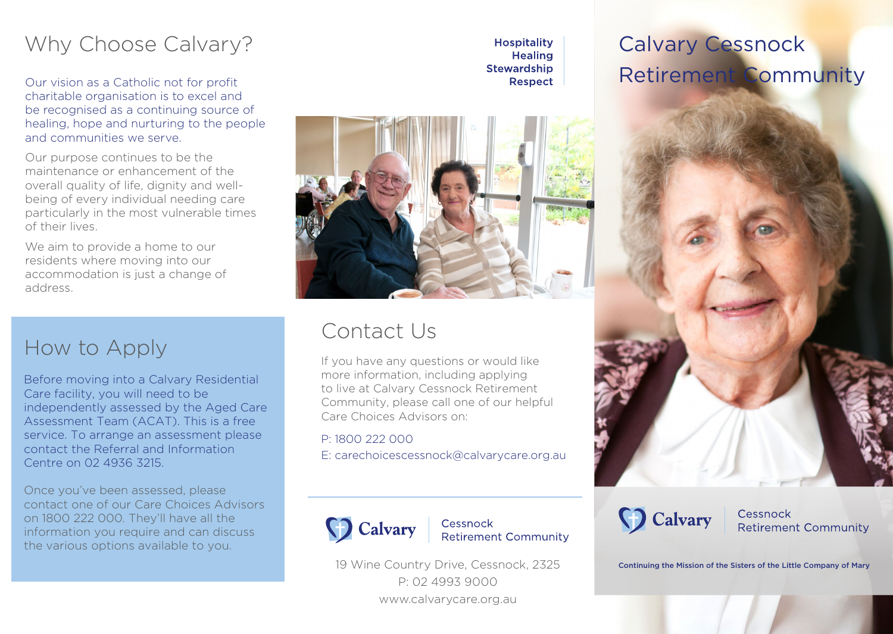## Why Choose Calvary?

Our vision as a Catholic not for profit charitable organisation is to excel and be recognised as a continuing source of healing, hope and nurturing to the people and communities we serve.

Our purpose continues to be the maintenance or enhancement of the overall quality of life, dignity and wellbeing of every individual needing care particularly in the most vulnerable times of their lives.

We aim to provide a home to our residents where moving into our accommodation is just a change of address.

### How to Apply

Before moving into a Calvary Residential Care facility, you will need to be independently assessed by the Aged Care Assessment Team (ACAT). This is a free service. To arrange an assessment please contact the Referral and Information Centre on 02 4936 3215.

Once you've been assessed, please contact one of our Care Choices Advisors on 1800 222 000. They'll have all the information you require and can discuss the various options available to you.



**Hospitality Healing Stewardship** Respect

### Contact Us

If you have any questions or would like more information, including applying to live at Calvary Cessnock Retirement Community, please call one of our helpful Care Choices Advisors on:

#### P: 1800 222 000

E: carechoicescessnock@calvarycare.org.au



Cessnock **Retirement Community** 

19 Wine Country Drive, Cessnock, 2325 P: 02 4993 9000 www.calvarycare.org.au

Calvary Cessnock Retirement Community



Cessnock **Retirement Community** 

Continuing the Mission of the Sisters of the Little Company of Mary